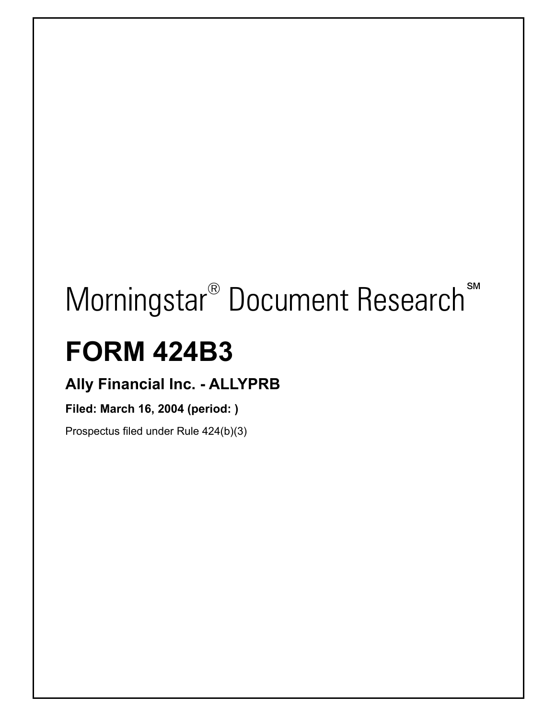# **Morningstar<sup>®</sup> Document Research**<sup>™</sup>

## **FORM 424B3**

 $\overline{\phantom{a}}$ 

### **Ally Financial Inc. - ALLYPRB**

#### **Filed: March 16, 2004 (period: )**

Prospectus filed under Rule 424(b)(3)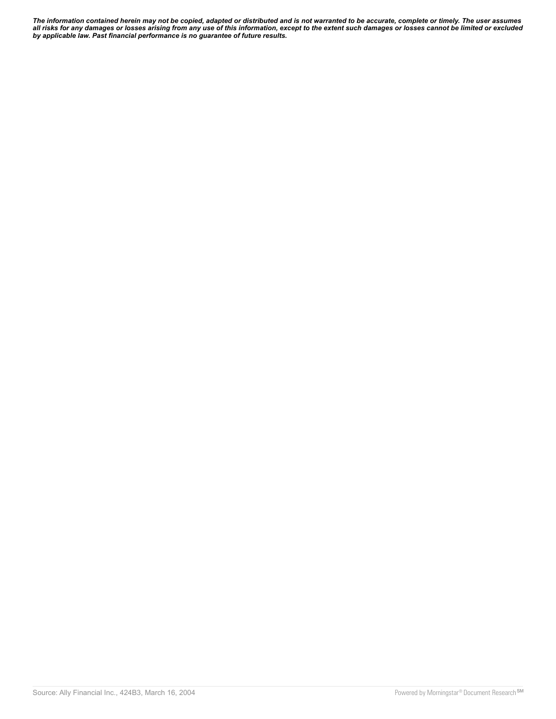*The information contained herein may not be copied, adapted or distributed and is not warranted to be accurate, complete or timely. The user assumes all risks for any damages or losses arising from any use of this information, except to the extent such damages or losses cannot be limited or excluded by applicable law. Past financial performance is no guarantee of future results.*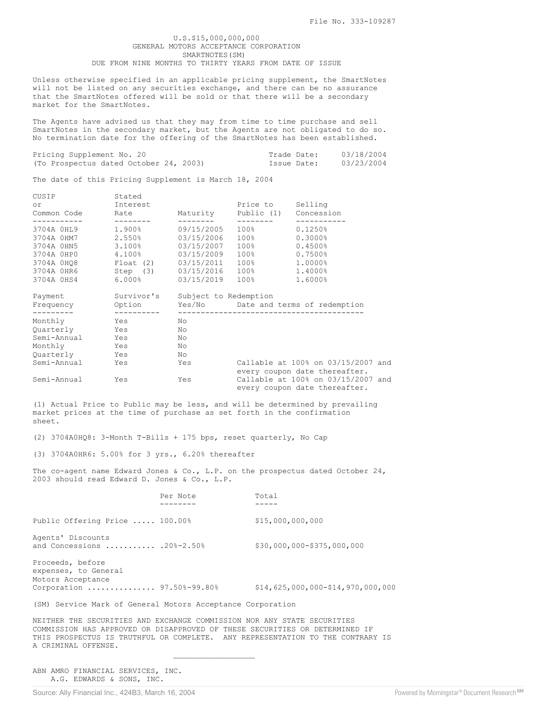#### U.S.\$15,000,000,000 GENERAL MOTORS ACCEPTANCE CORPORATION SMARTNOTES(SM) DUE FROM NINE MONTHS TO THIRTY YEARS FROM DATE OF ISSUE

Unless otherwise specified in an applicable pricing supplement, the SmartNotes will not be listed on any securities exchange, and there can be no assurance that the SmartNotes offered will be sold or that there will be a secondary market for the SmartNotes.

The Agents have advised us that they may from time to time purchase and sell SmartNotes in the secondary market, but the Agents are not obligated to do so. No termination date for the offering of the SmartNotes has been established.

| Pricing Supplement No. 20              | Trade Date: | 03/18/2004 |
|----------------------------------------|-------------|------------|
| (To Prospectus dated October 24, 2003) | Issue Date: | 03/23/2004 |

The date of this Pricing Supplement is March 18, 2004

| CUSIP<br>or<br>Common Code Rate | Stated<br>Interest                       |                         | Price to Selling<br>Maturity Public (1) Concession |                                                      |
|---------------------------------|------------------------------------------|-------------------------|----------------------------------------------------|------------------------------------------------------|
|                                 | 3704A 0HL9 1.900%                        | ---------<br>09/15/2005 | $100\%$ and $100\%$                                | $0.1250\%$                                           |
|                                 | 3704A 0HM7 2.550% 03/15/2006 100%        |                         |                                                    | $0.3000\%$                                           |
|                                 | 3704A 0HN5 3.100%                        | 03/15/2007              | $100\%$                                            | $0.4500\%$                                           |
|                                 | 3704A 0HP0 4.100% 03/15/2009             |                         | $100\%$ and $100\%$                                | 0.7500%                                              |
|                                 | 3704A 0HQ8 Float (2) 03/15/2011          |                         | $100\%$                                            | $1.0000\%$                                           |
|                                 | 3704A 0HR6 5tep (3) 03/15/2016 100%      |                         |                                                    | 1,4000%                                              |
|                                 | 3704A 0HS4 6.000% 03/15/2019 100%        |                         |                                                    | 1,6000%                                              |
|                                 | Payment Survivor's Subject to Redemption |                         |                                                    |                                                      |
|                                 | ----------                               |                         |                                                    | Frequency Option Yes/No Date and terms of redemption |
| Monthly Yes                     |                                          | No.                     |                                                    |                                                      |
| Quarterly Yes                   |                                          | No                      |                                                    |                                                      |
|                                 | Semi-Annual Yes                          | No                      |                                                    |                                                      |
| Monthly Yes                     |                                          | No                      |                                                    |                                                      |
| Quarterly Yes                   |                                          | No                      |                                                    |                                                      |
| Semi-Annual Yes                 |                                          | Yes                     |                                                    | Callable at 100% on 03/15/2007 and                   |
|                                 |                                          |                         |                                                    | every coupon date thereafter.                        |
| Semi-Annual                     | Yes                                      | Yes                     |                                                    | Callable at 100% on 03/15/2007 and                   |
|                                 |                                          |                         |                                                    | every coupon date thereafter.                        |

(1) Actual Price to Public may be less, and will be determined by prevailing market prices at the time of purchase as set forth in the confirmation sheet.

(2) 3704A0HQ8: 3-Month T-Bills + 175 bps, reset quarterly, No Cap

(3) 3704A0HR6: 5.00% for 3 yrs., 6.20% thereafter

The co-agent name Edward Jones & Co., L.P. on the prospectus dated October 24, 2003 should read Edward D. Jones & Co., L.P.

|                                                                                             | Per Note | Total                               |
|---------------------------------------------------------------------------------------------|----------|-------------------------------------|
| Public Offering Price  100.00%                                                              |          | \$15,000,000,000                    |
| Agents' Discounts<br>and Concessions  .20%-2.50%                                            |          | \$30,000,000-\$375,000,000          |
| Proceeds, before<br>expenses, to General<br>Motors Acceptance<br>Corporation  97.50%-99.80% |          | $$14,625,000,000 - $14,970,000,000$ |

(SM) Service Mark of General Motors Acceptance Corporation

 $\mathcal{L}_\text{max}$  and  $\mathcal{L}_\text{max}$  and  $\mathcal{L}_\text{max}$  and  $\mathcal{L}_\text{max}$ 

NEITHER THE SECURITIES AND EXCHANGE COMMISSION NOR ANY STATE SECURITIES COMMISSION HAS APPROVED OR DISAPPROVED OF THESE SECURITIES OR DETERMINED IF THIS PROSPECTUS IS TRUTHFUL OR COMPLETE. ANY REPRESENTATION TO THE CONTRARY IS A CRIMINAL OFFENSE.

ABN AMRO FINANCIAL SERVICES, INC. A.G. EDWARDS & SONS, INC.

Source: Ally Financial Inc., 424B3, March 16, 2004 Powered by Morningstar® Document Research<sup>SM</sup>